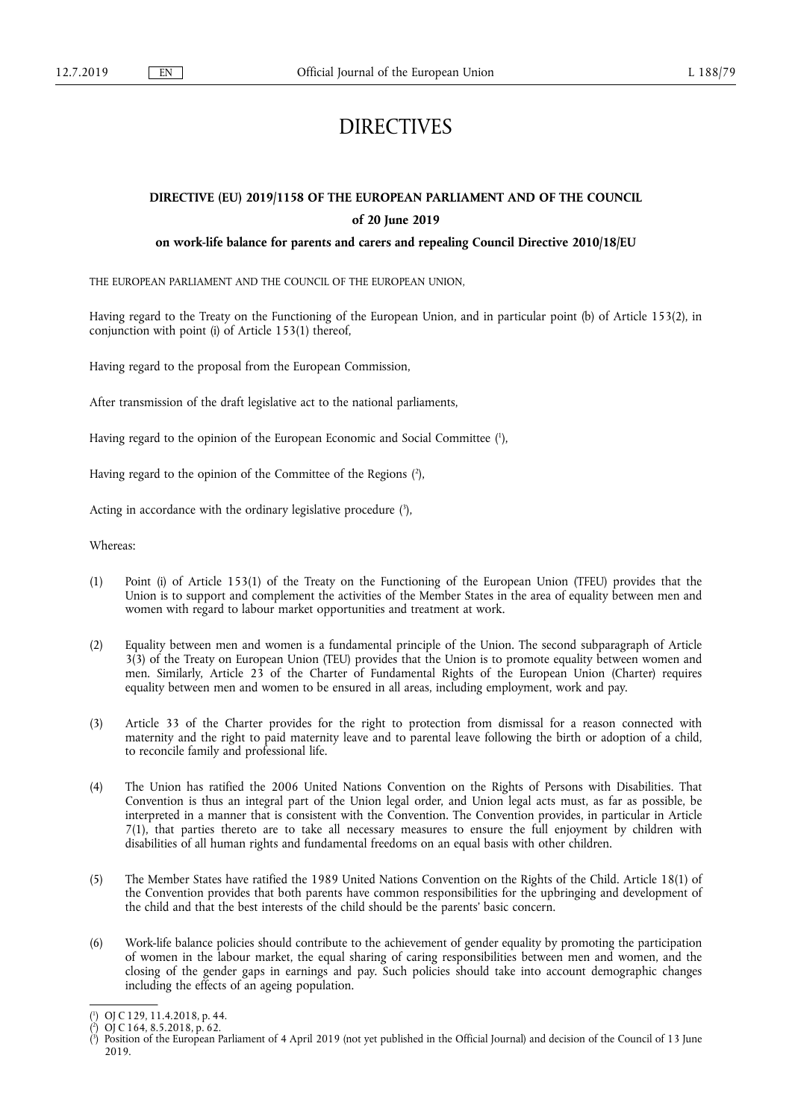# DIRECTIVES

## **DIRECTIVE (EU) 2019/1158 OF THE EUROPEAN PARLIAMENT AND OF THE COUNCIL of 20 June 2019**

## **on work-life balance for parents and carers and repealing Council Directive 2010/18/EU**

THE EUROPEAN PARLIAMENT AND THE COUNCIL OF THE EUROPEAN UNION,

Having regard to the Treaty on the Functioning of the European Union, and in particular point (b) of Article 153(2), in conjunction with point (i) of Article 153(1) thereof,

Having regard to the proposal from the European Commission,

After transmission of the draft legislative act to the national parliaments,

Having regard to the opinion of the European Economic and Social Committee ( 1 ),

Having regard to the opinion of the Committee of the Regions ( 2 ),

Acting in accordance with the ordinary legislative procedure  $(3)$ ,

Whereas:

- (1) Point (i) of Article 153(1) of the Treaty on the Functioning of the European Union (TFEU) provides that the Union is to support and complement the activities of the Member States in the area of equality between men and women with regard to labour market opportunities and treatment at work.
- (2) Equality between men and women is a fundamental principle of the Union. The second subparagraph of Article 3(3) of the Treaty on European Union (TEU) provides that the Union is to promote equality between women and men. Similarly, Article 23 of the Charter of Fundamental Rights of the European Union (Charter) requires equality between men and women to be ensured in all areas, including employment, work and pay.
- (3) Article 33 of the Charter provides for the right to protection from dismissal for a reason connected with maternity and the right to paid maternity leave and to parental leave following the birth or adoption of a child, to reconcile family and professional life.
- (4) The Union has ratified the 2006 United Nations Convention on the Rights of Persons with Disabilities. That Convention is thus an integral part of the Union legal order, and Union legal acts must, as far as possible, be interpreted in a manner that is consistent with the Convention. The Convention provides, in particular in Article 7(1), that parties thereto are to take all necessary measures to ensure the full enjoyment by children with disabilities of all human rights and fundamental freedoms on an equal basis with other children.
- (5) The Member States have ratified the 1989 United Nations Convention on the Rights of the Child. Article 18(1) of the Convention provides that both parents have common responsibilities for the upbringing and development of the child and that the best interests of the child should be the parents' basic concern.
- (6) Work-life balance policies should contribute to the achievement of gender equality by promoting the participation of women in the labour market, the equal sharing of caring responsibilities between men and women, and the closing of the gender gaps in earnings and pay. Such policies should take into account demographic changes including the effects of an ageing population.

<sup>(</sup> 1 ) OJ C 129, 11.4.2018, p. 44.

<sup>(</sup> 2 ) OJ C 164, 8.5.2018, p. 62.

<sup>(</sup> 3 ) Position of the European Parliament of 4 April 2019 (not yet published in the Official Journal) and decision of the Council of 13 June 2019.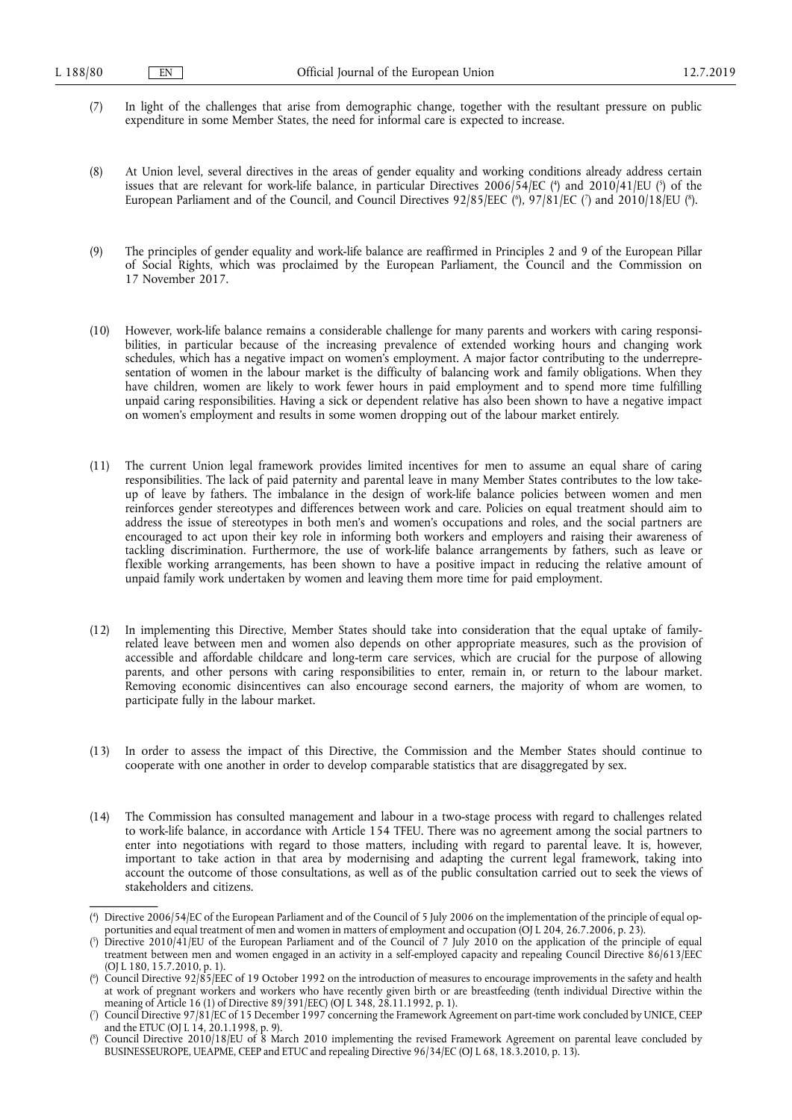- (7) In light of the challenges that arise from demographic change, together with the resultant pressure on public expenditure in some Member States, the need for informal care is expected to increase.
- (8) At Union level, several directives in the areas of gender equality and working conditions already address certain issues that are relevant for work-life balance, in particular Directives 2006/54/EC (<sup>4</sup>) and 2010/41/EU (<sup>5</sup>) of the European Parliament and of the Council, and Council Directives 92/85/EEC (\*), 97/81/EC (?) and 2010/18/EU (\*).
- (9) The principles of gender equality and work-life balance are reaffirmed in Principles 2 and 9 of the European Pillar of Social Rights, which was proclaimed by the European Parliament, the Council and the Commission on 17 November 2017.
- (10) However, work-life balance remains a considerable challenge for many parents and workers with caring responsibilities, in particular because of the increasing prevalence of extended working hours and changing work schedules, which has a negative impact on women's employment. A major factor contributing to the underrepresentation of women in the labour market is the difficulty of balancing work and family obligations. When they have children, women are likely to work fewer hours in paid employment and to spend more time fulfilling unpaid caring responsibilities. Having a sick or dependent relative has also been shown to have a negative impact on women's employment and results in some women dropping out of the labour market entirely.
- (11) The current Union legal framework provides limited incentives for men to assume an equal share of caring responsibilities. The lack of paid paternity and parental leave in many Member States contributes to the low takeup of leave by fathers. The imbalance in the design of work-life balance policies between women and men reinforces gender stereotypes and differences between work and care. Policies on equal treatment should aim to address the issue of stereotypes in both men's and women's occupations and roles, and the social partners are encouraged to act upon their key role in informing both workers and employers and raising their awareness of tackling discrimination. Furthermore, the use of work-life balance arrangements by fathers, such as leave or flexible working arrangements, has been shown to have a positive impact in reducing the relative amount of unpaid family work undertaken by women and leaving them more time for paid employment.
- (12) In implementing this Directive, Member States should take into consideration that the equal uptake of familyrelated leave between men and women also depends on other appropriate measures, such as the provision of accessible and affordable childcare and long-term care services, which are crucial for the purpose of allowing parents, and other persons with caring responsibilities to enter, remain in, or return to the labour market. Removing economic disincentives can also encourage second earners, the majority of whom are women, to participate fully in the labour market.
- (13) In order to assess the impact of this Directive, the Commission and the Member States should continue to cooperate with one another in order to develop comparable statistics that are disaggregated by sex.
- (14) The Commission has consulted management and labour in a two-stage process with regard to challenges related to work-life balance, in accordance with Article 154 TFEU. There was no agreement among the social partners to enter into negotiations with regard to those matters, including with regard to parental leave. It is, however, important to take action in that area by modernising and adapting the current legal framework, taking into account the outcome of those consultations, as well as of the public consultation carried out to seek the views of stakeholders and citizens.

<sup>(</sup> 4 ) Directive 2006/54/EC of the European Parliament and of the Council of 5 July 2006 on the implementation of the principle of equal opportunities and equal treatment of men and women in matters of employment and occupation (OJ L 204, 26.7.2006, p. 23).

<sup>(</sup> 5 ) Directive 2010/41/EU of the European Parliament and of the Council of 7 July 2010 on the application of the principle of equal treatment between men and women engaged in an activity in a self-employed capacity and repealing Council Directive 86/613/EEC (OJ L 180, 15.7.2010, p. 1).

<sup>(</sup> 6 ) Council Directive 92/85/EEC of 19 October 1992 on the introduction of measures to encourage improvements in the safety and health at work of pregnant workers and workers who have recently given birth or are breastfeeding (tenth individual Directive within the meaning of Article 16 (1) of Directive 89/391/EEC) (OJ L 348, 28.11.1992, p. 1).

<sup>(</sup> 7 ) Council Directive 97/81/EC of 15 December 1997 concerning the Framework Agreement on part-time work concluded by UNICE, CEEP and the ETUC (OJ L 14, 20.1.1998, p. 9).

<sup>(</sup> 8 ) Council Directive 2010/18/EU of 8 March 2010 implementing the revised Framework Agreement on parental leave concluded by BUSINESSEUROPE, UEAPME, CEEP and ETUC and repealing Directive 96/34/EC (OJ L 68, 18.3.2010, p. 13).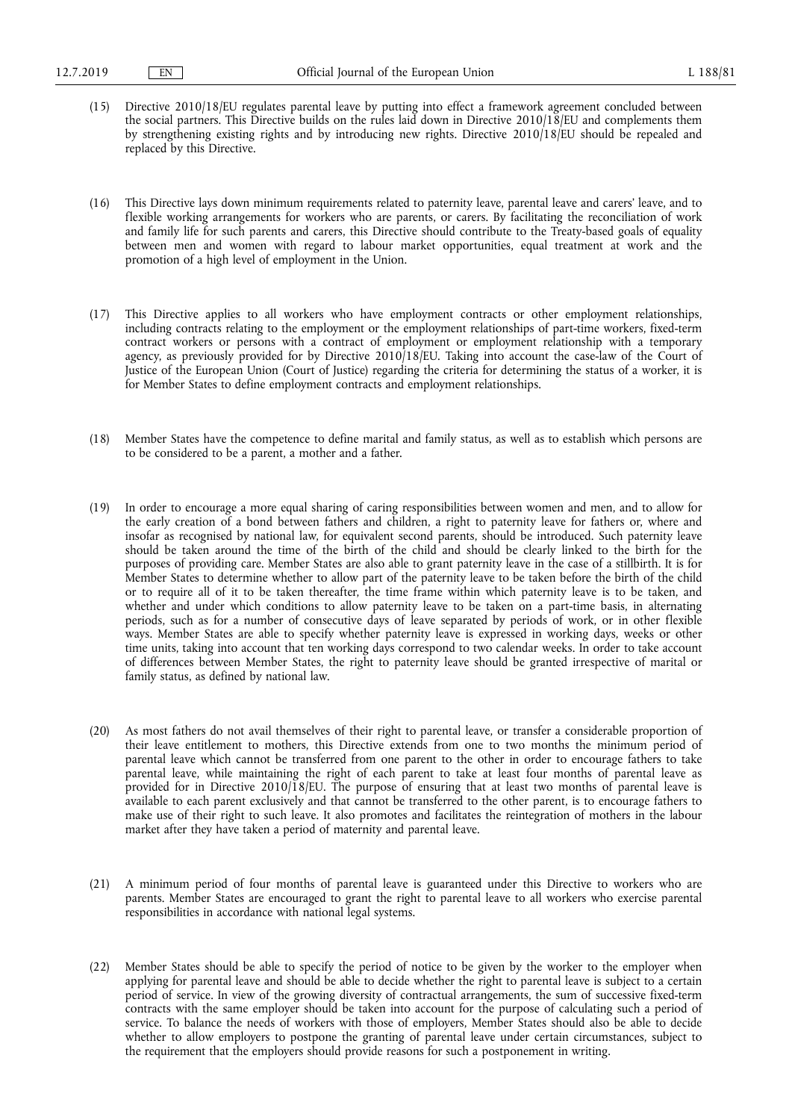- (15) Directive 2010/18/EU regulates parental leave by putting into effect a framework agreement concluded between the social partners. This Directive builds on the rules laid down in Directive 2010/18/EU and complements them by strengthening existing rights and by introducing new rights. Directive 2010/18/EU should be repealed and replaced by this Directive.
- (16) This Directive lays down minimum requirements related to paternity leave, parental leave and carers' leave, and to flexible working arrangements for workers who are parents, or carers. By facilitating the reconciliation of work and family life for such parents and carers, this Directive should contribute to the Treaty-based goals of equality between men and women with regard to labour market opportunities, equal treatment at work and the promotion of a high level of employment in the Union.
- (17) This Directive applies to all workers who have employment contracts or other employment relationships, including contracts relating to the employment or the employment relationships of part-time workers, fixed-term contract workers or persons with a contract of employment or employment relationship with a temporary agency, as previously provided for by Directive 2010/18/EU. Taking into account the case-law of the Court of Justice of the European Union (Court of Justice) regarding the criteria for determining the status of a worker, it is for Member States to define employment contracts and employment relationships.
- (18) Member States have the competence to define marital and family status, as well as to establish which persons are to be considered to be a parent, a mother and a father.
- (19) In order to encourage a more equal sharing of caring responsibilities between women and men, and to allow for the early creation of a bond between fathers and children, a right to paternity leave for fathers or, where and insofar as recognised by national law, for equivalent second parents, should be introduced. Such paternity leave should be taken around the time of the birth of the child and should be clearly linked to the birth for the purposes of providing care. Member States are also able to grant paternity leave in the case of a stillbirth. It is for Member States to determine whether to allow part of the paternity leave to be taken before the birth of the child or to require all of it to be taken thereafter, the time frame within which paternity leave is to be taken, and whether and under which conditions to allow paternity leave to be taken on a part-time basis, in alternating periods, such as for a number of consecutive days of leave separated by periods of work, or in other flexible ways. Member States are able to specify whether paternity leave is expressed in working days, weeks or other time units, taking into account that ten working days correspond to two calendar weeks. In order to take account of differences between Member States, the right to paternity leave should be granted irrespective of marital or family status, as defined by national law.
- (20) As most fathers do not avail themselves of their right to parental leave, or transfer a considerable proportion of their leave entitlement to mothers, this Directive extends from one to two months the minimum period of parental leave which cannot be transferred from one parent to the other in order to encourage fathers to take parental leave, while maintaining the right of each parent to take at least four months of parental leave as provided for in Directive 2010/18/EU. The purpose of ensuring that at least two months of parental leave is available to each parent exclusively and that cannot be transferred to the other parent, is to encourage fathers to make use of their right to such leave. It also promotes and facilitates the reintegration of mothers in the labour market after they have taken a period of maternity and parental leave.
- (21) A minimum period of four months of parental leave is guaranteed under this Directive to workers who are parents. Member States are encouraged to grant the right to parental leave to all workers who exercise parental responsibilities in accordance with national legal systems.
- (22) Member States should be able to specify the period of notice to be given by the worker to the employer when applying for parental leave and should be able to decide whether the right to parental leave is subject to a certain period of service. In view of the growing diversity of contractual arrangements, the sum of successive fixed-term contracts with the same employer should be taken into account for the purpose of calculating such a period of service. To balance the needs of workers with those of employers, Member States should also be able to decide whether to allow employers to postpone the granting of parental leave under certain circumstances, subject to the requirement that the employers should provide reasons for such a postponement in writing.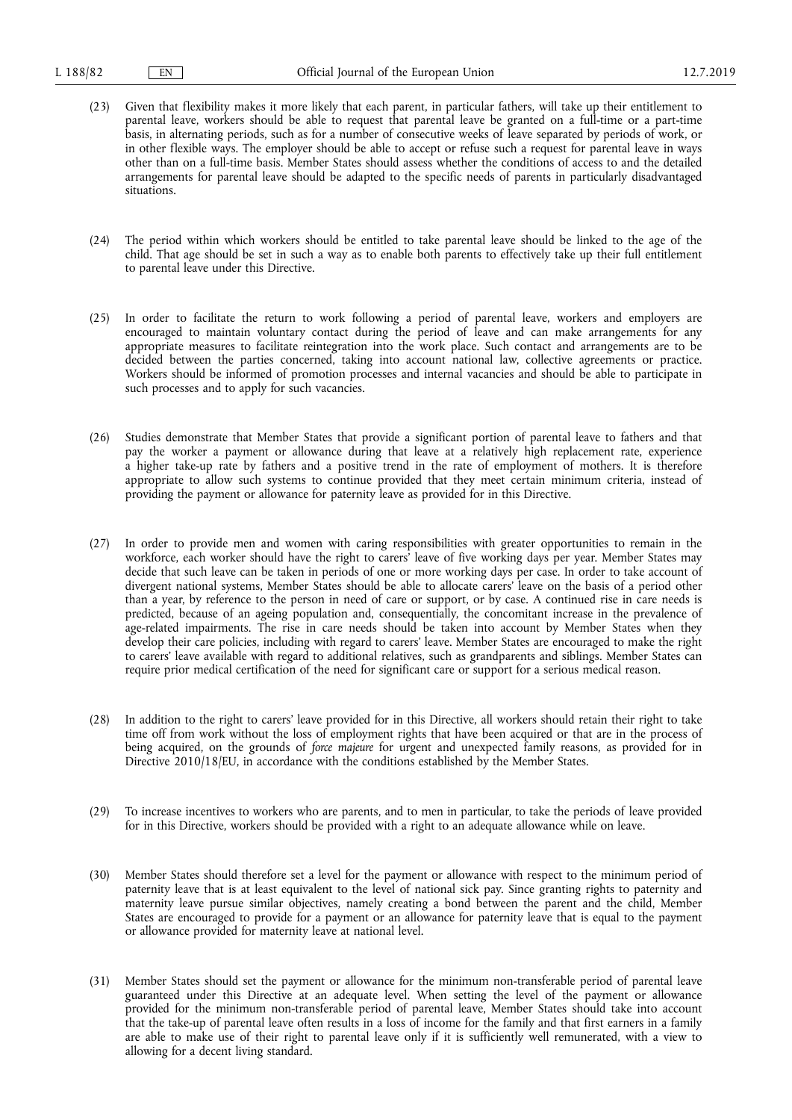- (23) Given that flexibility makes it more likely that each parent, in particular fathers, will take up their entitlement to parental leave, workers should be able to request that parental leave be granted on a full-time or a part-time basis, in alternating periods, such as for a number of consecutive weeks of leave separated by periods of work, or in other flexible ways. The employer should be able to accept or refuse such a request for parental leave in ways other than on a full-time basis. Member States should assess whether the conditions of access to and the detailed arrangements for parental leave should be adapted to the specific needs of parents in particularly disadvantaged situations.
- (24) The period within which workers should be entitled to take parental leave should be linked to the age of the child. That age should be set in such a way as to enable both parents to effectively take up their full entitlement to parental leave under this Directive.
- (25) In order to facilitate the return to work following a period of parental leave, workers and employers are encouraged to maintain voluntary contact during the period of leave and can make arrangements for any appropriate measures to facilitate reintegration into the work place. Such contact and arrangements are to be decided between the parties concerned, taking into account national law, collective agreements or practice. Workers should be informed of promotion processes and internal vacancies and should be able to participate in such processes and to apply for such vacancies.
- (26) Studies demonstrate that Member States that provide a significant portion of parental leave to fathers and that pay the worker a payment or allowance during that leave at a relatively high replacement rate, experience a higher take-up rate by fathers and a positive trend in the rate of employment of mothers. It is therefore appropriate to allow such systems to continue provided that they meet certain minimum criteria, instead of providing the payment or allowance for paternity leave as provided for in this Directive.
- (27) In order to provide men and women with caring responsibilities with greater opportunities to remain in the workforce, each worker should have the right to carers' leave of five working days per year. Member States may decide that such leave can be taken in periods of one or more working days per case. In order to take account of divergent national systems, Member States should be able to allocate carers' leave on the basis of a period other than a year, by reference to the person in need of care or support, or by case. A continued rise in care needs is predicted, because of an ageing population and, consequentially, the concomitant increase in the prevalence of age-related impairments. The rise in care needs should be taken into account by Member States when they develop their care policies, including with regard to carers' leave. Member States are encouraged to make the right to carers' leave available with regard to additional relatives, such as grandparents and siblings. Member States can require prior medical certification of the need for significant care or support for a serious medical reason.
- (28) In addition to the right to carers' leave provided for in this Directive, all workers should retain their right to take time off from work without the loss of employment rights that have been acquired or that are in the process of being acquired, on the grounds of *force majeure* for urgent and unexpected family reasons, as provided for in Directive 2010/18/EU, in accordance with the conditions established by the Member States.
- (29) To increase incentives to workers who are parents, and to men in particular, to take the periods of leave provided for in this Directive, workers should be provided with a right to an adequate allowance while on leave.
- (30) Member States should therefore set a level for the payment or allowance with respect to the minimum period of paternity leave that is at least equivalent to the level of national sick pay. Since granting rights to paternity and maternity leave pursue similar objectives, namely creating a bond between the parent and the child, Member States are encouraged to provide for a payment or an allowance for paternity leave that is equal to the payment or allowance provided for maternity leave at national level.
- (31) Member States should set the payment or allowance for the minimum non-transferable period of parental leave guaranteed under this Directive at an adequate level. When setting the level of the payment or allowance provided for the minimum non-transferable period of parental leave, Member States should take into account that the take-up of parental leave often results in a loss of income for the family and that first earners in a family are able to make use of their right to parental leave only if it is sufficiently well remunerated, with a view to allowing for a decent living standard.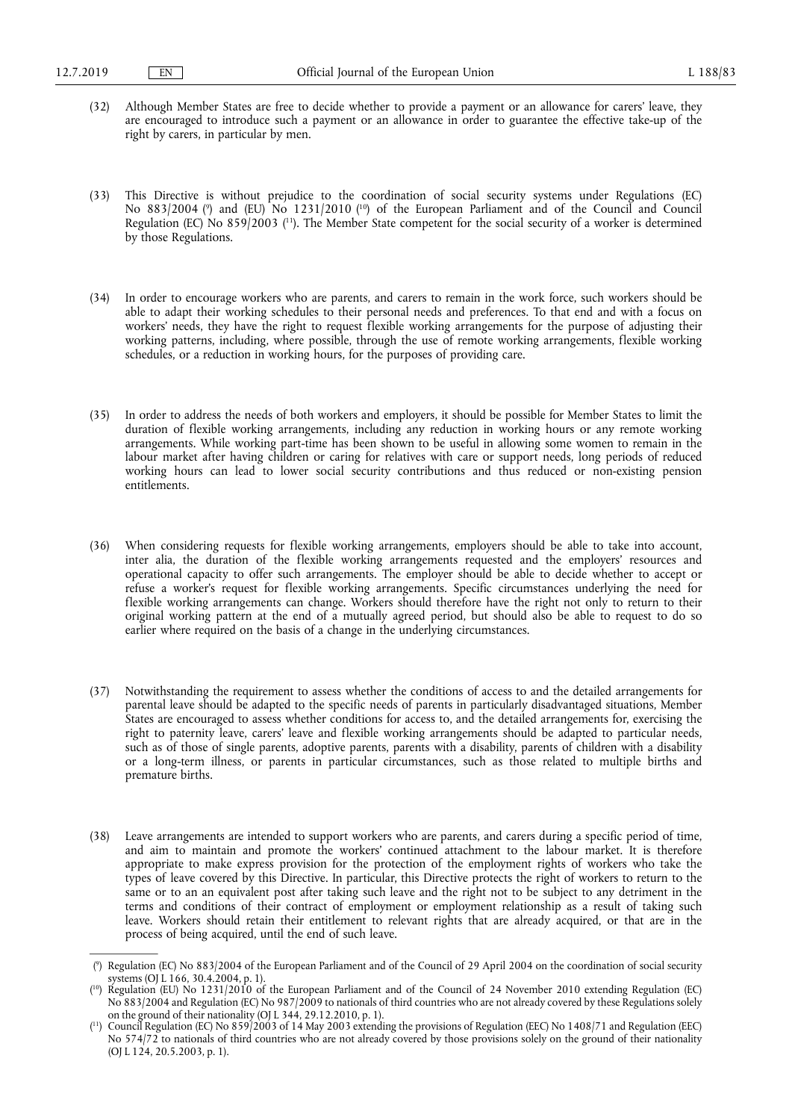- (32) Although Member States are free to decide whether to provide a payment or an allowance for carers' leave, they are encouraged to introduce such a payment or an allowance in order to guarantee the effective take-up of the right by carers, in particular by men.
- (33) This Directive is without prejudice to the coordination of social security systems under Regulations (EC) No 883/2004 ( 9 ) and (EU) No 1231/2010 ( 10) of the European Parliament and of the Council and Council Regulation (EC) No 859/2003 ( 11). The Member State competent for the social security of a worker is determined by those Regulations.
- (34) In order to encourage workers who are parents, and carers to remain in the work force, such workers should be able to adapt their working schedules to their personal needs and preferences. To that end and with a focus on workers' needs, they have the right to request flexible working arrangements for the purpose of adjusting their working patterns, including, where possible, through the use of remote working arrangements, flexible working schedules, or a reduction in working hours, for the purposes of providing care.
- (35) In order to address the needs of both workers and employers, it should be possible for Member States to limit the duration of flexible working arrangements, including any reduction in working hours or any remote working arrangements. While working part-time has been shown to be useful in allowing some women to remain in the labour market after having children or caring for relatives with care or support needs, long periods of reduced working hours can lead to lower social security contributions and thus reduced or non-existing pension entitlements.
- (36) When considering requests for flexible working arrangements, employers should be able to take into account, inter alia, the duration of the flexible working arrangements requested and the employers' resources and operational capacity to offer such arrangements. The employer should be able to decide whether to accept or refuse a worker's request for flexible working arrangements. Specific circumstances underlying the need for flexible working arrangements can change. Workers should therefore have the right not only to return to their original working pattern at the end of a mutually agreed period, but should also be able to request to do so earlier where required on the basis of a change in the underlying circumstances.
- (37) Notwithstanding the requirement to assess whether the conditions of access to and the detailed arrangements for parental leave should be adapted to the specific needs of parents in particularly disadvantaged situations, Member States are encouraged to assess whether conditions for access to, and the detailed arrangements for, exercising the right to paternity leave, carers' leave and flexible working arrangements should be adapted to particular needs, such as of those of single parents, adoptive parents, parents with a disability, parents of children with a disability or a long-term illness, or parents in particular circumstances, such as those related to multiple births and premature births.
- (38) Leave arrangements are intended to support workers who are parents, and carers during a specific period of time, and aim to maintain and promote the workers' continued attachment to the labour market. It is therefore appropriate to make express provision for the protection of the employment rights of workers who take the types of leave covered by this Directive. In particular, this Directive protects the right of workers to return to the same or to an an equivalent post after taking such leave and the right not to be subject to any detriment in the terms and conditions of their contract of employment or employment relationship as a result of taking such leave. Workers should retain their entitlement to relevant rights that are already acquired, or that are in the process of being acquired, until the end of such leave.

<sup>(</sup> 9 ) Regulation (EC) No 883/2004 of the European Parliament and of the Council of 29 April 2004 on the coordination of social security systems (OJ L 166, 30.4.2004, p. 1).

<sup>(</sup> 10) Regulation (EU) No 1231/2010 of the European Parliament and of the Council of 24 November 2010 extending Regulation (EC) No 883/2004 and Regulation (EC) No 987/2009 to nationals of third countries who are not already covered by these Regulations solely on the ground of their nationality (OJ L 344, 29.12.2010, p. 1).

<sup>(</sup> 11) Council Regulation (EC) No 859/2003 of 14 May 2003 extending the provisions of Regulation (EEC) No 1408/71 and Regulation (EEC) No 574/72 to nationals of third countries who are not already covered by those provisions solely on the ground of their nationality (OJ L 124, 20.5.2003, p. 1).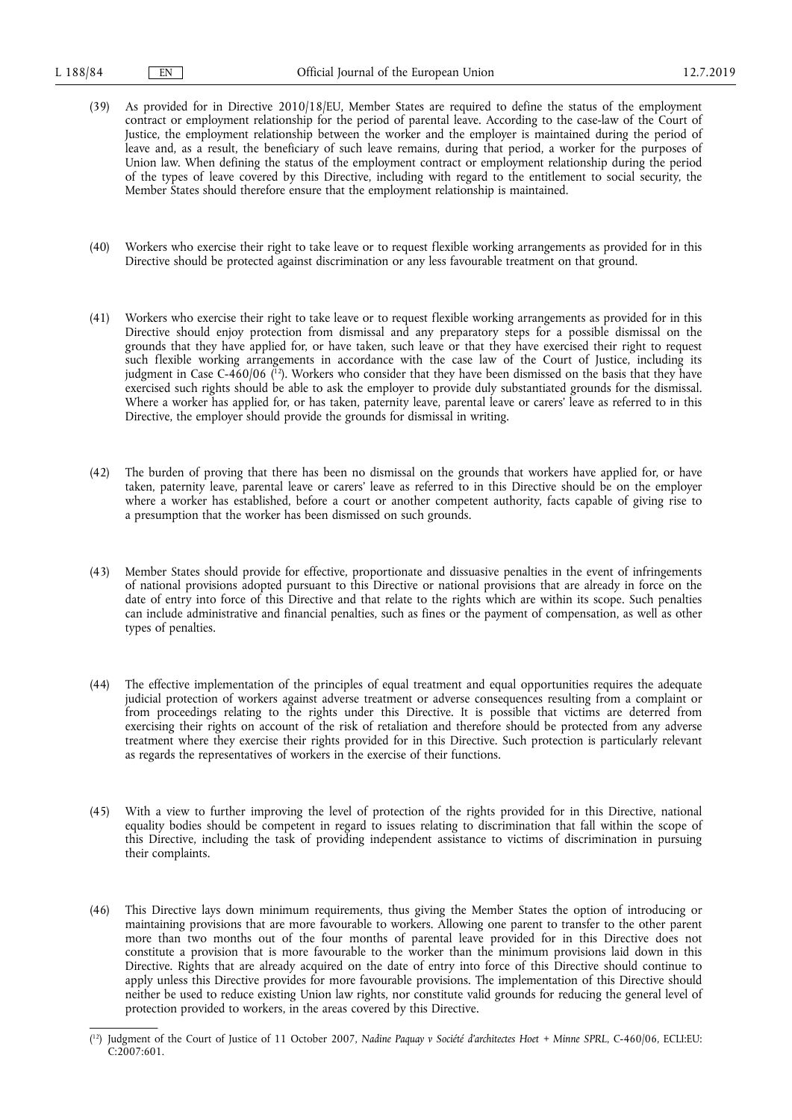- (39) As provided for in Directive 2010/18/EU, Member States are required to define the status of the employment contract or employment relationship for the period of parental leave. According to the case-law of the Court of Justice, the employment relationship between the worker and the employer is maintained during the period of leave and, as a result, the beneficiary of such leave remains, during that period, a worker for the purposes of Union law. When defining the status of the employment contract or employment relationship during the period of the types of leave covered by this Directive, including with regard to the entitlement to social security, the Member States should therefore ensure that the employment relationship is maintained.
- (40) Workers who exercise their right to take leave or to request flexible working arrangements as provided for in this Directive should be protected against discrimination or any less favourable treatment on that ground.
- (41) Workers who exercise their right to take leave or to request flexible working arrangements as provided for in this Directive should enjoy protection from dismissal and any preparatory steps for a possible dismissal on the grounds that they have applied for, or have taken, such leave or that they have exercised their right to request such flexible working arrangements in accordance with the case law of the Court of Justice, including its judgment in Case C-460/06 ( 12). Workers who consider that they have been dismissed on the basis that they have exercised such rights should be able to ask the employer to provide duly substantiated grounds for the dismissal. Where a worker has applied for, or has taken, paternity leave, parental leave or carers' leave as referred to in this Directive, the employer should provide the grounds for dismissal in writing.
- (42) The burden of proving that there has been no dismissal on the grounds that workers have applied for, or have taken, paternity leave, parental leave or carers' leave as referred to in this Directive should be on the employer where a worker has established, before a court or another competent authority, facts capable of giving rise to a presumption that the worker has been dismissed on such grounds.
- (43) Member States should provide for effective, proportionate and dissuasive penalties in the event of infringements of national provisions adopted pursuant to this Directive or national provisions that are already in force on the date of entry into force of this Directive and that relate to the rights which are within its scope. Such penalties can include administrative and financial penalties, such as fines or the payment of compensation, as well as other types of penalties.
- (44) The effective implementation of the principles of equal treatment and equal opportunities requires the adequate judicial protection of workers against adverse treatment or adverse consequences resulting from a complaint or from proceedings relating to the rights under this Directive. It is possible that victims are deterred from exercising their rights on account of the risk of retaliation and therefore should be protected from any adverse treatment where they exercise their rights provided for in this Directive. Such protection is particularly relevant as regards the representatives of workers in the exercise of their functions.
- (45) With a view to further improving the level of protection of the rights provided for in this Directive, national equality bodies should be competent in regard to issues relating to discrimination that fall within the scope of this Directive, including the task of providing independent assistance to victims of discrimination in pursuing their complaints.
- (46) This Directive lays down minimum requirements, thus giving the Member States the option of introducing or maintaining provisions that are more favourable to workers. Allowing one parent to transfer to the other parent more than two months out of the four months of parental leave provided for in this Directive does not constitute a provision that is more favourable to the worker than the minimum provisions laid down in this Directive. Rights that are already acquired on the date of entry into force of this Directive should continue to apply unless this Directive provides for more favourable provisions. The implementation of this Directive should neither be used to reduce existing Union law rights, nor constitute valid grounds for reducing the general level of protection provided to workers, in the areas covered by this Directive.

<sup>(</sup> 12) Judgment of the Court of Justice of 11 October 2007, *Nadine Paquay v Société d'architectes Hoet + Minne SPRL*, C-460/06, ECLI:EU: C:2007:601.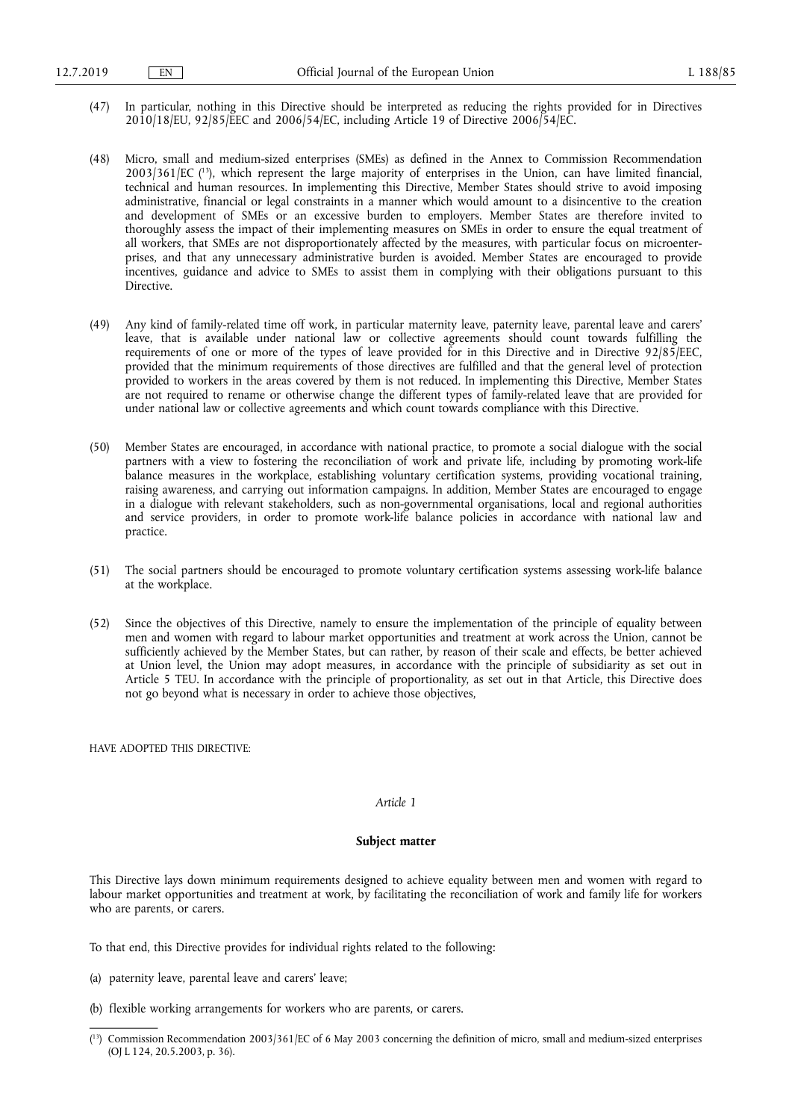- (47) In particular, nothing in this Directive should be interpreted as reducing the rights provided for in Directives 2010/18/EU, 92/85/EEC and 2006/54/EC, including Article 19 of Directive 2006/54/EC.
- (48) Micro, small and medium-sized enterprises (SMEs) as defined in the Annex to Commission Recommendation 2003/361/EC ( 13), which represent the large majority of enterprises in the Union, can have limited financial, technical and human resources. In implementing this Directive, Member States should strive to avoid imposing administrative, financial or legal constraints in a manner which would amount to a disincentive to the creation and development of SMEs or an excessive burden to employers. Member States are therefore invited to thoroughly assess the impact of their implementing measures on SMEs in order to ensure the equal treatment of all workers, that SMEs are not disproportionately affected by the measures, with particular focus on microenterprises, and that any unnecessary administrative burden is avoided. Member States are encouraged to provide incentives, guidance and advice to SMEs to assist them in complying with their obligations pursuant to this Directive.
- (49) Any kind of family-related time off work, in particular maternity leave, paternity leave, parental leave and carers' leave, that is available under national law or collective agreements should count towards fulfilling the requirements of one or more of the types of leave provided for in this Directive and in Directive 92/85/EEC, provided that the minimum requirements of those directives are fulfilled and that the general level of protection provided to workers in the areas covered by them is not reduced. In implementing this Directive, Member States are not required to rename or otherwise change the different types of family-related leave that are provided for under national law or collective agreements and which count towards compliance with this Directive.
- (50) Member States are encouraged, in accordance with national practice, to promote a social dialogue with the social partners with a view to fostering the reconciliation of work and private life, including by promoting work-life balance measures in the workplace, establishing voluntary certification systems, providing vocational training, raising awareness, and carrying out information campaigns. In addition, Member States are encouraged to engage in a dialogue with relevant stakeholders, such as non-governmental organisations, local and regional authorities and service providers, in order to promote work-life balance policies in accordance with national law and practice.
- (51) The social partners should be encouraged to promote voluntary certification systems assessing work-life balance at the workplace.
- (52) Since the objectives of this Directive, namely to ensure the implementation of the principle of equality between men and women with regard to labour market opportunities and treatment at work across the Union, cannot be sufficiently achieved by the Member States, but can rather, by reason of their scale and effects, be better achieved at Union level, the Union may adopt measures, in accordance with the principle of subsidiarity as set out in Article 5 TEU. In accordance with the principle of proportionality, as set out in that Article, this Directive does not go beyond what is necessary in order to achieve those objectives,

HAVE ADOPTED THIS DIRECTIVE:

#### *Article 1*

#### **Subject matter**

This Directive lays down minimum requirements designed to achieve equality between men and women with regard to labour market opportunities and treatment at work, by facilitating the reconciliation of work and family life for workers who are parents, or carers.

To that end, this Directive provides for individual rights related to the following:

- (a) paternity leave, parental leave and carers' leave;
- (b) flexible working arrangements for workers who are parents, or carers.

<sup>(</sup> 13) Commission Recommendation 2003/361/EC of 6 May 2003 concerning the definition of micro, small and medium-sized enterprises (OJ L 124, 20.5.2003, p. 36).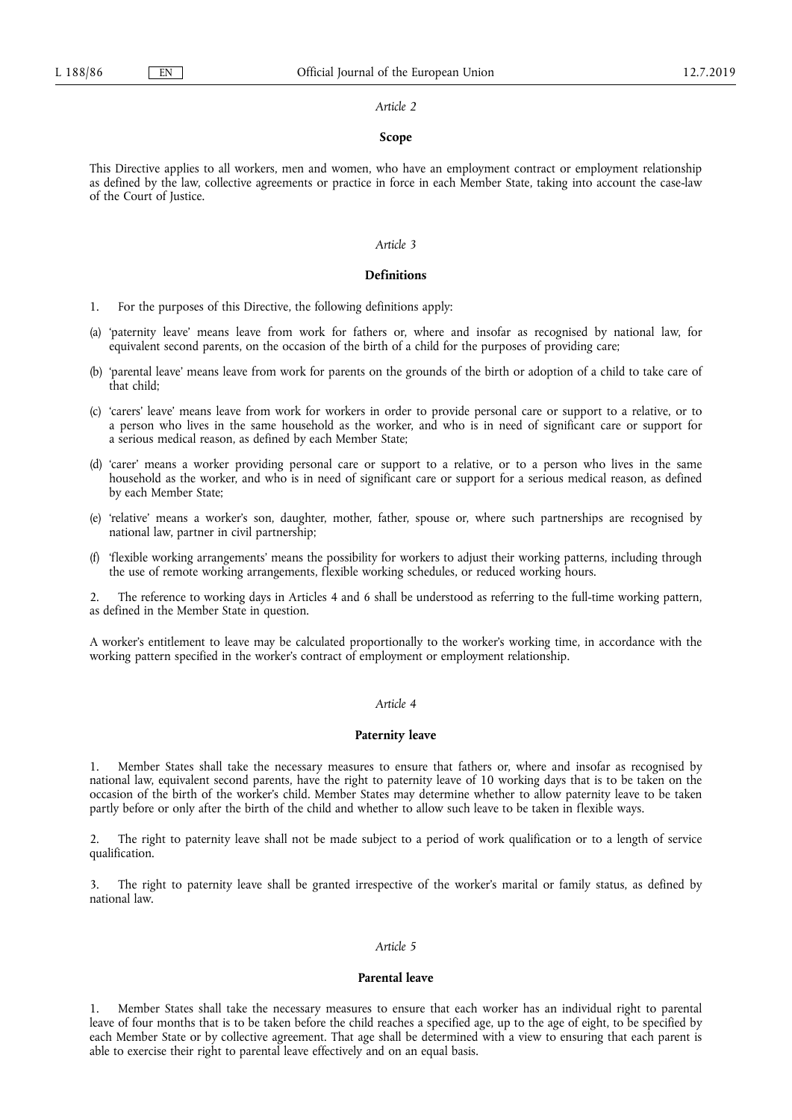## **Scope**

This Directive applies to all workers, men and women, who have an employment contract or employment relationship as defined by the law, collective agreements or practice in force in each Member State, taking into account the case-law of the Court of Justice.

#### *Article 3*

#### **Definitions**

- 1. For the purposes of this Directive, the following definitions apply:
- (a) 'paternity leave' means leave from work for fathers or, where and insofar as recognised by national law, for equivalent second parents, on the occasion of the birth of a child for the purposes of providing care;
- (b) 'parental leave' means leave from work for parents on the grounds of the birth or adoption of a child to take care of that child;
- (c) 'carers' leave' means leave from work for workers in order to provide personal care or support to a relative, or to a person who lives in the same household as the worker, and who is in need of significant care or support for a serious medical reason, as defined by each Member State;
- (d) 'carer' means a worker providing personal care or support to a relative, or to a person who lives in the same household as the worker, and who is in need of significant care or support for a serious medical reason, as defined by each Member State;
- (e) 'relative' means a worker's son, daughter, mother, father, spouse or, where such partnerships are recognised by national law, partner in civil partnership;
- (f) 'flexible working arrangements' means the possibility for workers to adjust their working patterns, including through the use of remote working arrangements, flexible working schedules, or reduced working hours.

2. The reference to working days in Articles 4 and 6 shall be understood as referring to the full-time working pattern, as defined in the Member State in question.

A worker's entitlement to leave may be calculated proportionally to the worker's working time, in accordance with the working pattern specified in the worker's contract of employment or employment relationship.

#### *Article 4*

#### **Paternity leave**

1. Member States shall take the necessary measures to ensure that fathers or, where and insofar as recognised by national law, equivalent second parents, have the right to paternity leave of 10 working days that is to be taken on the occasion of the birth of the worker's child. Member States may determine whether to allow paternity leave to be taken partly before or only after the birth of the child and whether to allow such leave to be taken in flexible ways.

2. The right to paternity leave shall not be made subject to a period of work qualification or to a length of service qualification.

3. The right to paternity leave shall be granted irrespective of the worker's marital or family status, as defined by national law.

#### *Article 5*

#### **Parental leave**

1. Member States shall take the necessary measures to ensure that each worker has an individual right to parental leave of four months that is to be taken before the child reaches a specified age, up to the age of eight, to be specified by each Member State or by collective agreement. That age shall be determined with a view to ensuring that each parent is able to exercise their right to parental leave effectively and on an equal basis.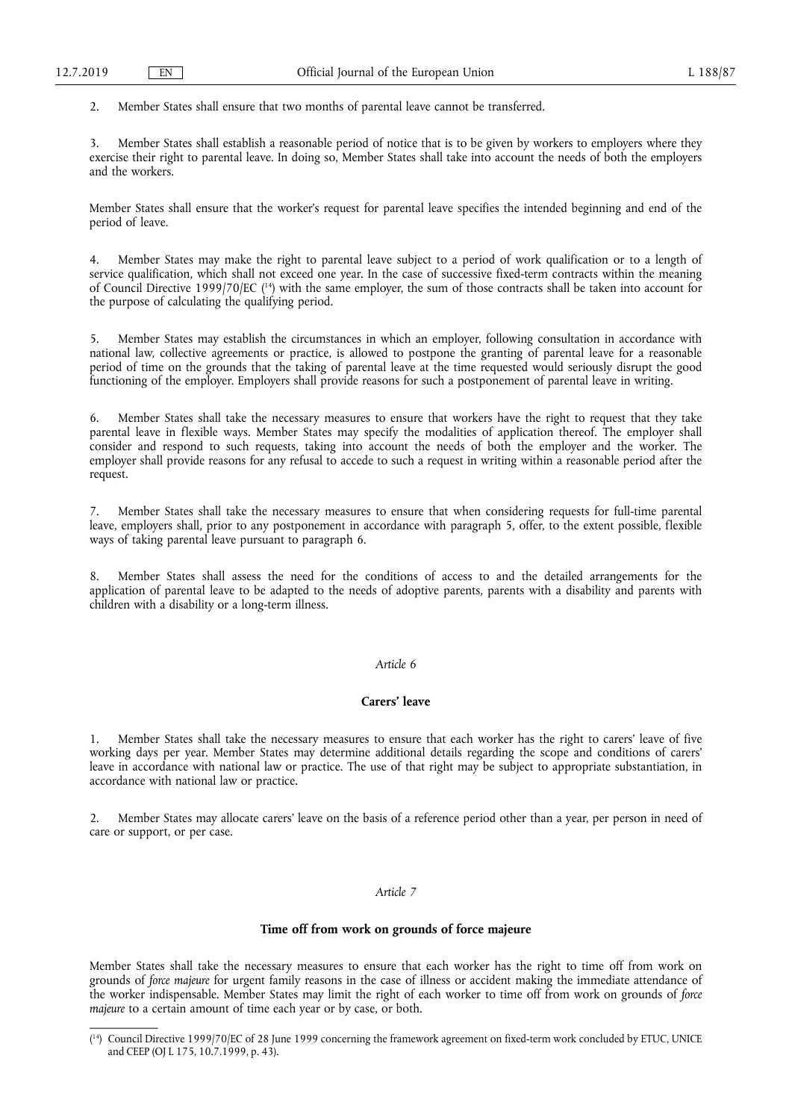2. Member States shall ensure that two months of parental leave cannot be transferred.

3. Member States shall establish a reasonable period of notice that is to be given by workers to employers where they exercise their right to parental leave. In doing so, Member States shall take into account the needs of both the employers and the workers.

Member States shall ensure that the worker's request for parental leave specifies the intended beginning and end of the period of leave.

Member States may make the right to parental leave subject to a period of work qualification or to a length of service qualification, which shall not exceed one year. In the case of successive fixed-term contracts within the meaning of Council Directive 1999/70/EC ( 14) with the same employer, the sum of those contracts shall be taken into account for the purpose of calculating the qualifying period.

5. Member States may establish the circumstances in which an employer, following consultation in accordance with national law, collective agreements or practice, is allowed to postpone the granting of parental leave for a reasonable period of time on the grounds that the taking of parental leave at the time requested would seriously disrupt the good functioning of the employer. Employers shall provide reasons for such a postponement of parental leave in writing.

Member States shall take the necessary measures to ensure that workers have the right to request that they take parental leave in flexible ways. Member States may specify the modalities of application thereof. The employer shall consider and respond to such requests, taking into account the needs of both the employer and the worker. The employer shall provide reasons for any refusal to accede to such a request in writing within a reasonable period after the request.

7. Member States shall take the necessary measures to ensure that when considering requests for full-time parental leave, employers shall, prior to any postponement in accordance with paragraph 5, offer, to the extent possible, flexible ways of taking parental leave pursuant to paragraph 6.

8. Member States shall assess the need for the conditions of access to and the detailed arrangements for the application of parental leave to be adapted to the needs of adoptive parents, parents with a disability and parents with children with a disability or a long-term illness.

## *Article 6*

#### **Carers' leave**

1. Member States shall take the necessary measures to ensure that each worker has the right to carers' leave of five working days per year. Member States may determine additional details regarding the scope and conditions of carers' leave in accordance with national law or practice. The use of that right may be subject to appropriate substantiation, in accordance with national law or practice.

2. Member States may allocate carers' leave on the basis of a reference period other than a year, per person in need of care or support, or per case.

#### *Article 7*

#### **Time off from work on grounds of force majeure**

Member States shall take the necessary measures to ensure that each worker has the right to time off from work on grounds of *force majeure* for urgent family reasons in the case of illness or accident making the immediate attendance of the worker indispensable. Member States may limit the right of each worker to time off from work on grounds of *force majeure* to a certain amount of time each year or by case, or both.

<sup>(</sup> 14) Council Directive 1999/70/EC of 28 June 1999 concerning the framework agreement on fixed-term work concluded by ETUC, UNICE and CEEP (OJ L 175, 10.7.1999, p. 43).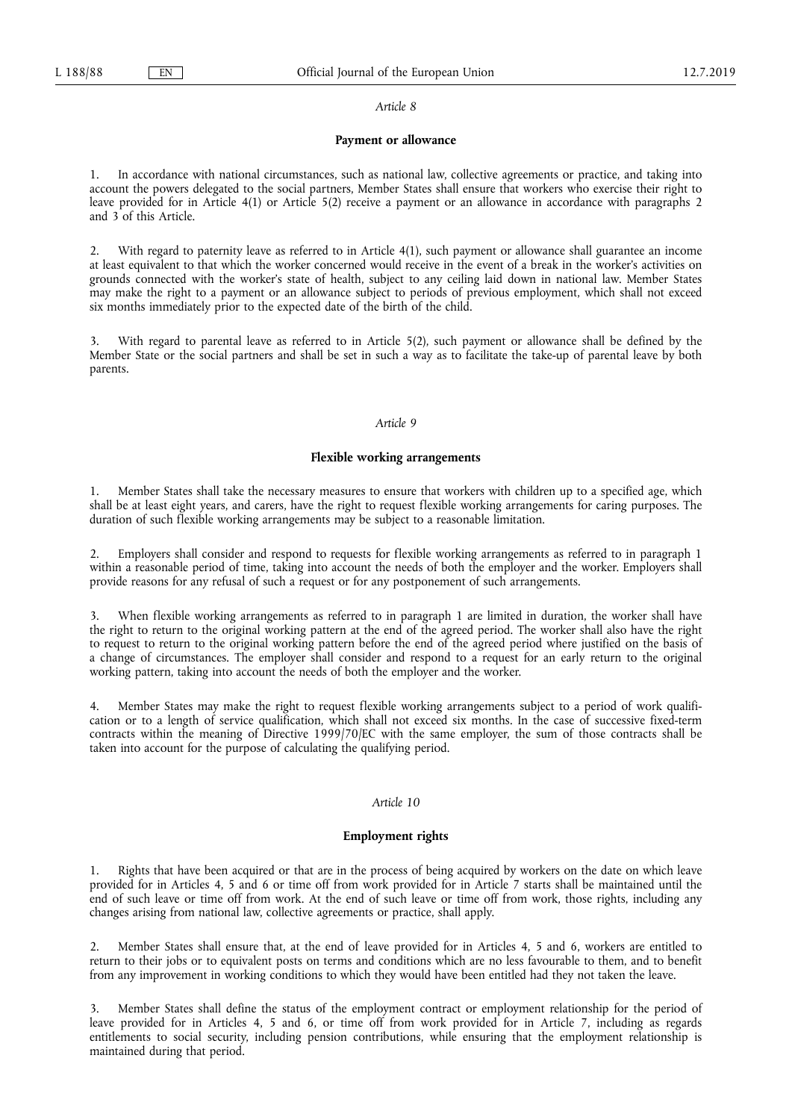#### **Payment or allowance**

1. In accordance with national circumstances, such as national law, collective agreements or practice, and taking into account the powers delegated to the social partners, Member States shall ensure that workers who exercise their right to leave provided for in Article 4(1) or Article 5(2) receive a payment or an allowance in accordance with paragraphs 2 and 3 of this Article.

2. With regard to paternity leave as referred to in Article 4(1), such payment or allowance shall guarantee an income at least equivalent to that which the worker concerned would receive in the event of a break in the worker's activities on grounds connected with the worker's state of health, subject to any ceiling laid down in national law. Member States may make the right to a payment or an allowance subject to periods of previous employment, which shall not exceed six months immediately prior to the expected date of the birth of the child.

With regard to parental leave as referred to in Article 5(2), such payment or allowance shall be defined by the Member State or the social partners and shall be set in such a way as to facilitate the take-up of parental leave by both parents.

#### *Article 9*

#### **Flexible working arrangements**

1. Member States shall take the necessary measures to ensure that workers with children up to a specified age, which shall be at least eight years, and carers, have the right to request flexible working arrangements for caring purposes. The duration of such flexible working arrangements may be subject to a reasonable limitation.

2. Employers shall consider and respond to requests for flexible working arrangements as referred to in paragraph 1 within a reasonable period of time, taking into account the needs of both the employer and the worker. Employers shall provide reasons for any refusal of such a request or for any postponement of such arrangements.

When flexible working arrangements as referred to in paragraph 1 are limited in duration, the worker shall have the right to return to the original working pattern at the end of the agreed period. The worker shall also have the right to request to return to the original working pattern before the end of the agreed period where justified on the basis of a change of circumstances. The employer shall consider and respond to a request for an early return to the original working pattern, taking into account the needs of both the employer and the worker.

4. Member States may make the right to request flexible working arrangements subject to a period of work qualification or to a length of service qualification, which shall not exceed six months. In the case of successive fixed-term contracts within the meaning of Directive 1999/70/EC with the same employer, the sum of those contracts shall be taken into account for the purpose of calculating the qualifying period.

#### *Article 10*

## **Employment rights**

Rights that have been acquired or that are in the process of being acquired by workers on the date on which leave provided for in Articles 4, 5 and 6 or time off from work provided for in Article 7 starts shall be maintained until the end of such leave or time off from work. At the end of such leave or time off from work, those rights, including any changes arising from national law, collective agreements or practice, shall apply.

2. Member States shall ensure that, at the end of leave provided for in Articles 4, 5 and 6, workers are entitled to return to their jobs or to equivalent posts on terms and conditions which are no less favourable to them, and to benefit from any improvement in working conditions to which they would have been entitled had they not taken the leave.

3. Member States shall define the status of the employment contract or employment relationship for the period of leave provided for in Articles 4, 5 and 6, or time off from work provided for in Article 7, including as regards entitlements to social security, including pension contributions, while ensuring that the employment relationship is maintained during that period.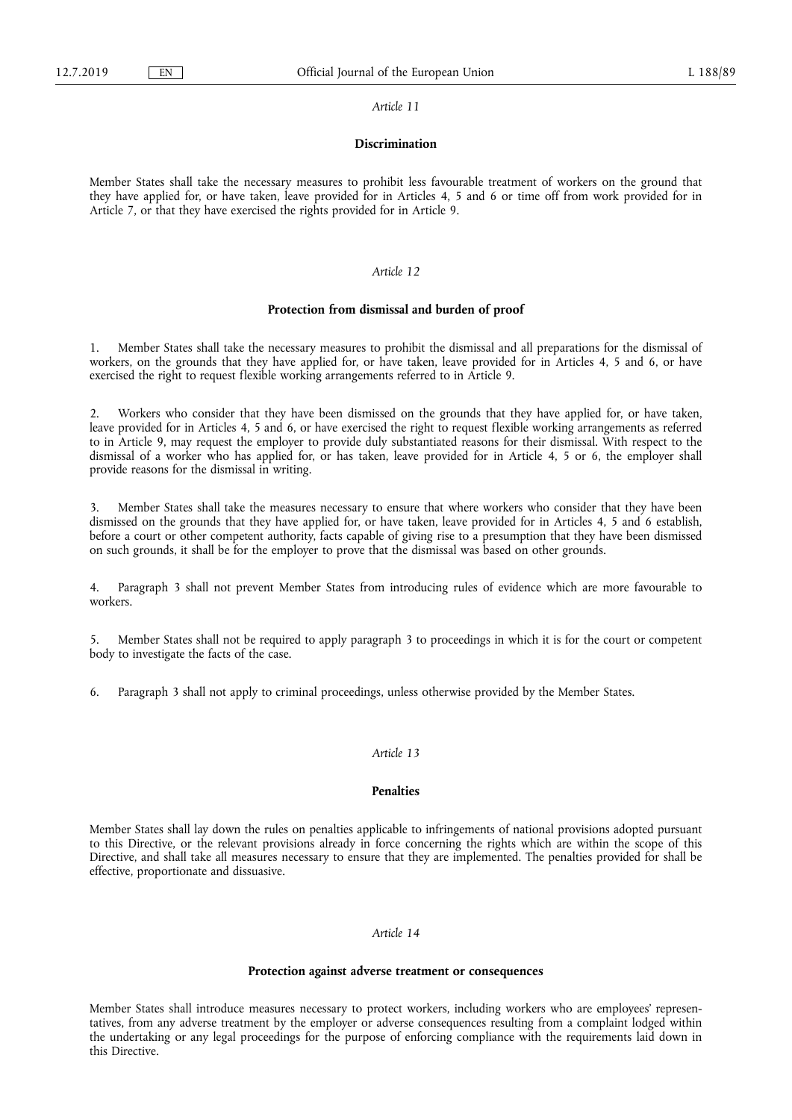#### **Discrimination**

Member States shall take the necessary measures to prohibit less favourable treatment of workers on the ground that they have applied for, or have taken, leave provided for in Articles 4, 5 and 6 or time off from work provided for in Article 7, or that they have exercised the rights provided for in Article 9.

#### *Article 12*

#### **Protection from dismissal and burden of proof**

1. Member States shall take the necessary measures to prohibit the dismissal and all preparations for the dismissal of workers, on the grounds that they have applied for, or have taken, leave provided for in Articles 4, 5 and 6, or have exercised the right to request flexible working arrangements referred to in Article 9.

2. Workers who consider that they have been dismissed on the grounds that they have applied for, or have taken, leave provided for in Articles 4, 5 and 6, or have exercised the right to request flexible working arrangements as referred to in Article 9, may request the employer to provide duly substantiated reasons for their dismissal. With respect to the dismissal of a worker who has applied for, or has taken, leave provided for in Article 4, 5 or 6, the employer shall provide reasons for the dismissal in writing.

3. Member States shall take the measures necessary to ensure that where workers who consider that they have been dismissed on the grounds that they have applied for, or have taken, leave provided for in Articles 4, 5 and 6 establish, before a court or other competent authority, facts capable of giving rise to a presumption that they have been dismissed on such grounds, it shall be for the employer to prove that the dismissal was based on other grounds.

4. Paragraph 3 shall not prevent Member States from introducing rules of evidence which are more favourable to workers.

5. Member States shall not be required to apply paragraph 3 to proceedings in which it is for the court or competent body to investigate the facts of the case.

6. Paragraph 3 shall not apply to criminal proceedings, unless otherwise provided by the Member States.

#### *Article 13*

## **Penalties**

Member States shall lay down the rules on penalties applicable to infringements of national provisions adopted pursuant to this Directive, or the relevant provisions already in force concerning the rights which are within the scope of this Directive, and shall take all measures necessary to ensure that they are implemented. The penalties provided for shall be effective, proportionate and dissuasive.

### *Article 14*

## **Protection against adverse treatment or consequences**

Member States shall introduce measures necessary to protect workers, including workers who are employees' representatives, from any adverse treatment by the employer or adverse consequences resulting from a complaint lodged within the undertaking or any legal proceedings for the purpose of enforcing compliance with the requirements laid down in this Directive.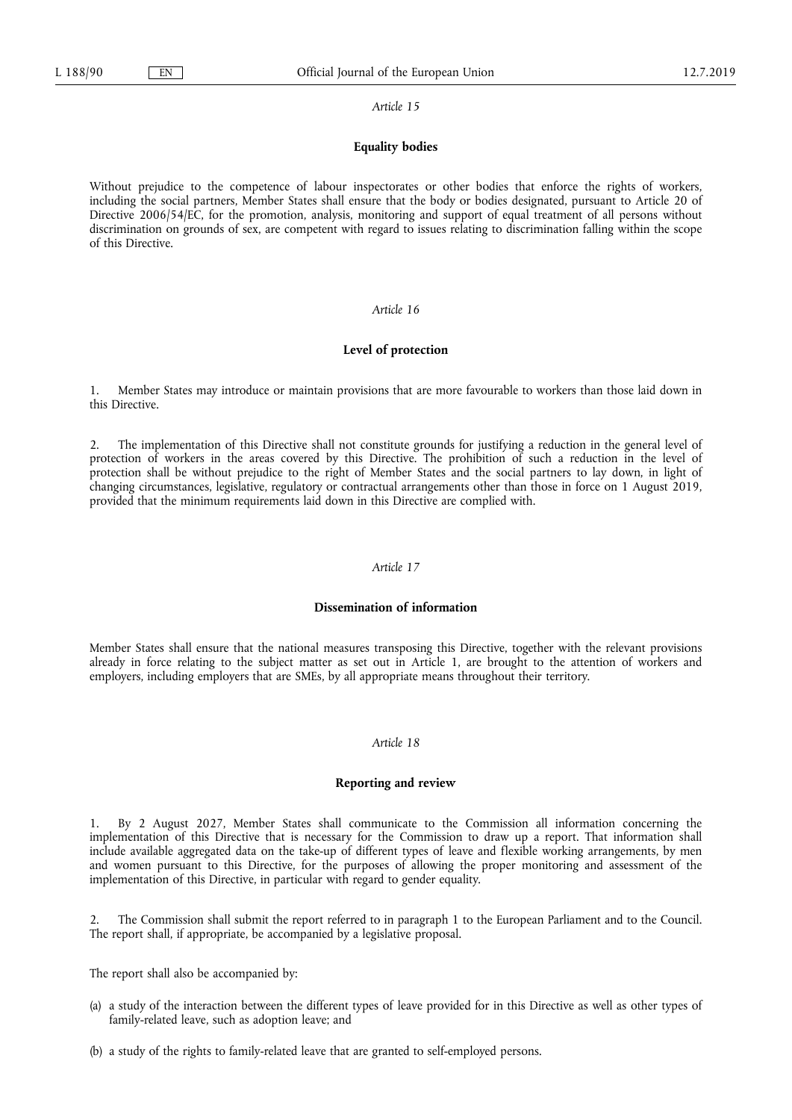#### **Equality bodies**

Without prejudice to the competence of labour inspectorates or other bodies that enforce the rights of workers, including the social partners, Member States shall ensure that the body or bodies designated, pursuant to Article 20 of Directive 2006/54/EC, for the promotion, analysis, monitoring and support of equal treatment of all persons without discrimination on grounds of sex, are competent with regard to issues relating to discrimination falling within the scope of this Directive.

#### *Article 16*

#### **Level of protection**

1. Member States may introduce or maintain provisions that are more favourable to workers than those laid down in this Directive.

2. The implementation of this Directive shall not constitute grounds for justifying a reduction in the general level of protection of workers in the areas covered by this Directive. The prohibition of such a reduction in the level of protection shall be without prejudice to the right of Member States and the social partners to lay down, in light of changing circumstances, legislative, regulatory or contractual arrangements other than those in force on 1 August 2019, provided that the minimum requirements laid down in this Directive are complied with.

#### *Article 17*

#### **Dissemination of information**

Member States shall ensure that the national measures transposing this Directive, together with the relevant provisions already in force relating to the subject matter as set out in Article 1, are brought to the attention of workers and employers, including employers that are SMEs, by all appropriate means throughout their territory.

#### *Article 18*

#### **Reporting and review**

1. By 2 August 2027, Member States shall communicate to the Commission all information concerning the implementation of this Directive that is necessary for the Commission to draw up a report. That information shall include available aggregated data on the take-up of different types of leave and flexible working arrangements, by men and women pursuant to this Directive, for the purposes of allowing the proper monitoring and assessment of the implementation of this Directive, in particular with regard to gender equality.

2. The Commission shall submit the report referred to in paragraph 1 to the European Parliament and to the Council. The report shall, if appropriate, be accompanied by a legislative proposal.

The report shall also be accompanied by:

- (a) a study of the interaction between the different types of leave provided for in this Directive as well as other types of family-related leave, such as adoption leave; and
- (b) a study of the rights to family-related leave that are granted to self-employed persons.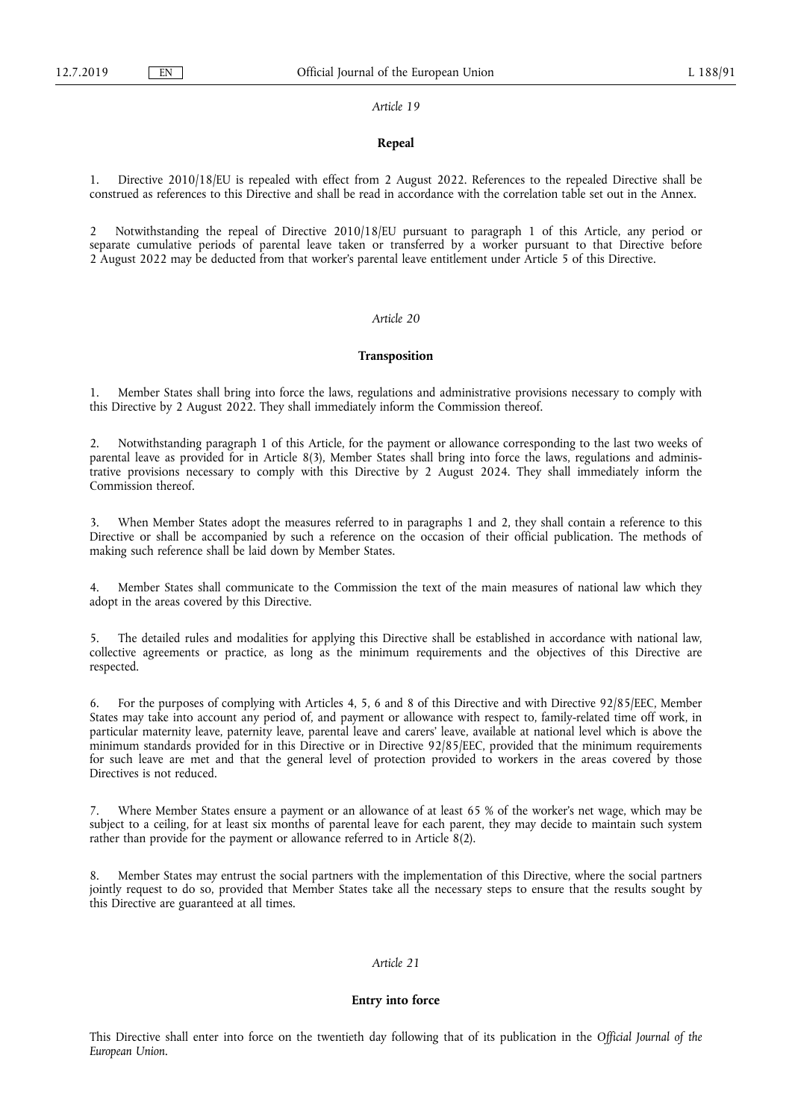#### **Repeal**

1. Directive 2010/18/EU is repealed with effect from 2 August 2022. References to the repealed Directive shall be construed as references to this Directive and shall be read in accordance with the correlation table set out in the Annex.

2 Notwithstanding the repeal of Directive 2010/18/EU pursuant to paragraph 1 of this Article, any period or separate cumulative periods of parental leave taken or transferred by a worker pursuant to that Directive before 2 August 2022 may be deducted from that worker's parental leave entitlement under Article 5 of this Directive.

## *Article 20*

#### **Transposition**

1. Member States shall bring into force the laws, regulations and administrative provisions necessary to comply with this Directive by 2 August 2022. They shall immediately inform the Commission thereof.

2. Notwithstanding paragraph 1 of this Article, for the payment or allowance corresponding to the last two weeks of parental leave as provided for in Article 8(3), Member States shall bring into force the laws, regulations and administrative provisions necessary to comply with this Directive by 2 August 2024. They shall immediately inform the Commission thereof.

When Member States adopt the measures referred to in paragraphs 1 and 2, they shall contain a reference to this Directive or shall be accompanied by such a reference on the occasion of their official publication. The methods of making such reference shall be laid down by Member States.

Member States shall communicate to the Commission the text of the main measures of national law which they adopt in the areas covered by this Directive.

5. The detailed rules and modalities for applying this Directive shall be established in accordance with national law, collective agreements or practice, as long as the minimum requirements and the objectives of this Directive are respected.

6. For the purposes of complying with Articles 4, 5, 6 and 8 of this Directive and with Directive 92/85/EEC, Member States may take into account any period of, and payment or allowance with respect to, family-related time off work, in particular maternity leave, paternity leave, parental leave and carers' leave, available at national level which is above the minimum standards provided for in this Directive or in Directive 92/85/EEC, provided that the minimum requirements for such leave are met and that the general level of protection provided to workers in the areas covered by those Directives is not reduced.

7. Where Member States ensure a payment or an allowance of at least 65 % of the worker's net wage, which may be subject to a ceiling, for at least six months of parental leave for each parent, they may decide to maintain such system rather than provide for the payment or allowance referred to in Article 8(2).

8. Member States may entrust the social partners with the implementation of this Directive, where the social partners jointly request to do so, provided that Member States take all the necessary steps to ensure that the results sought by this Directive are guaranteed at all times.

## *Article 21*

#### **Entry into force**

This Directive shall enter into force on the twentieth day following that of its publication in the *Official Journal of the European Union*.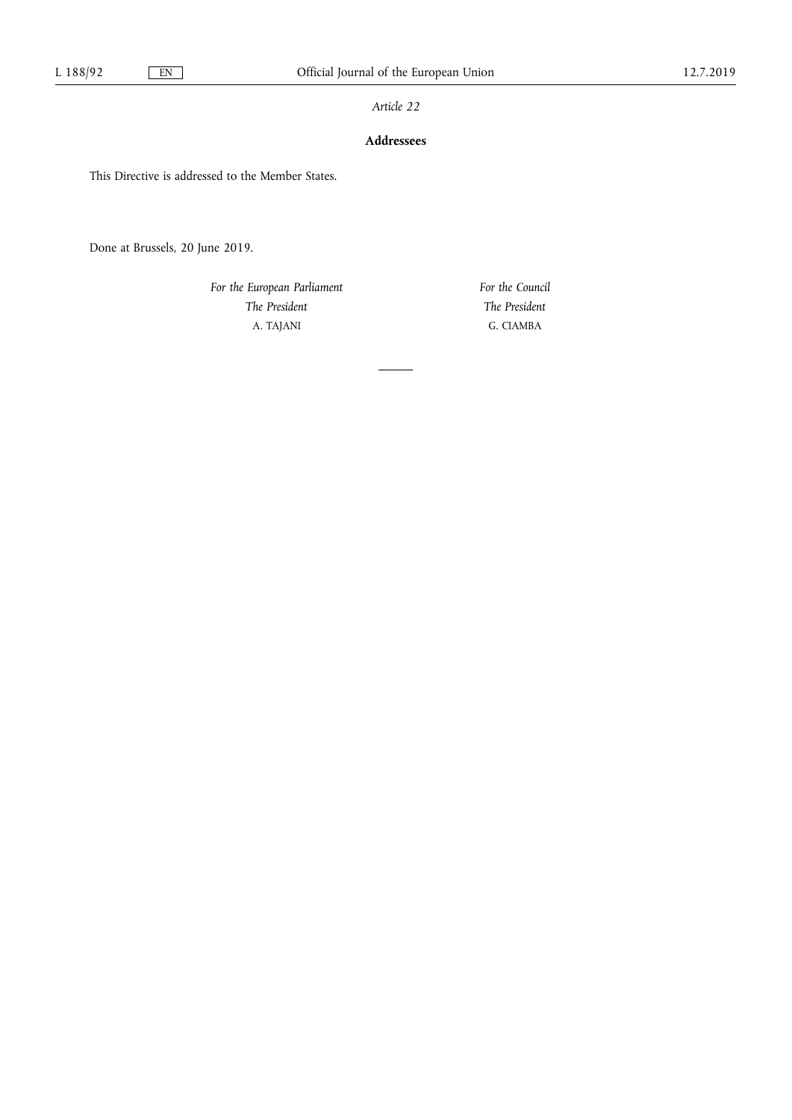## **Addressees**

This Directive is addressed to the Member States.

Done at Brussels, 20 June 2019.

*For the European Parliament The President*  A. TAJANI

*For the Council The President*  G. CIAMBA